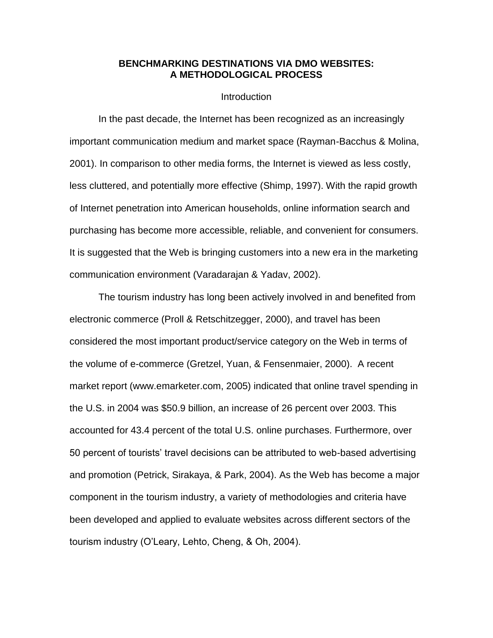## **BENCHMARKING DESTINATIONS VIA DMO WEBSITES: A METHODOLOGICAL PROCESS**

#### Introduction

In the past decade, the Internet has been recognized as an increasingly important communication medium and market space (Rayman-Bacchus & Molina, 2001). In comparison to other media forms, the Internet is viewed as less costly, less cluttered, and potentially more effective (Shimp, 1997). With the rapid growth of Internet penetration into American households, online information search and purchasing has become more accessible, reliable, and convenient for consumers. It is suggested that the Web is bringing customers into a new era in the marketing communication environment (Varadarajan & Yadav, 2002).

The tourism industry has long been actively involved in and benefited from electronic commerce (Proll & Retschitzegger, 2000), and travel has been considered the most important product/service category on the Web in terms of the volume of e-commerce (Gretzel, Yuan, & Fensenmaier, 2000). A recent market report (www.emarketer.com, 2005) indicated that online travel spending in the U.S. in 2004 was \$50.9 billion, an increase of 26 percent over 2003. This accounted for 43.4 percent of the total U.S. online purchases. Furthermore, over 50 percent of tourists" travel decisions can be attributed to web-based advertising and promotion (Petrick, Sirakaya, & Park, 2004). As the Web has become a major component in the tourism industry, a variety of methodologies and criteria have been developed and applied to evaluate websites across different sectors of the tourism industry (O"Leary, Lehto, Cheng, & Oh, 2004).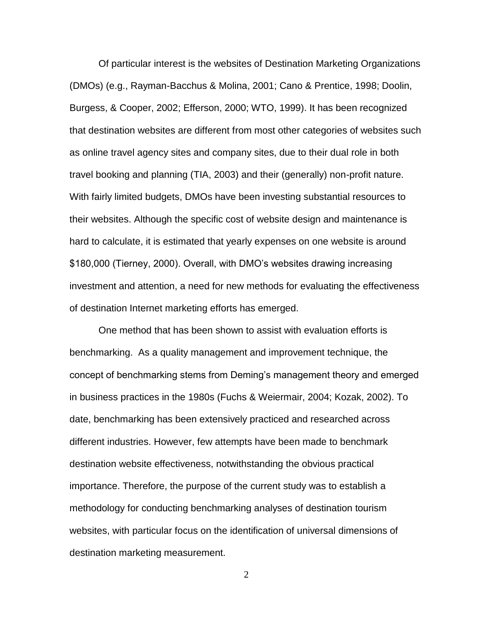Of particular interest is the websites of Destination Marketing Organizations (DMOs) (e.g., Rayman-Bacchus & Molina, 2001; Cano & Prentice, 1998; Doolin, Burgess, & Cooper, 2002; Efferson, 2000; WTO, 1999). It has been recognized that destination websites are different from most other categories of websites such as online travel agency sites and company sites, due to their dual role in both travel booking and planning (TIA, 2003) and their (generally) non-profit nature. With fairly limited budgets, DMOs have been investing substantial resources to their websites. Although the specific cost of website design and maintenance is hard to calculate, it is estimated that yearly expenses on one website is around \$180,000 (Tierney, 2000). Overall, with DMO"s websites drawing increasing investment and attention, a need for new methods for evaluating the effectiveness of destination Internet marketing efforts has emerged.

One method that has been shown to assist with evaluation efforts is benchmarking. As a quality management and improvement technique, the concept of benchmarking stems from Deming"s management theory and emerged in business practices in the 1980s (Fuchs & Weiermair, 2004; Kozak, 2002). To date, benchmarking has been extensively practiced and researched across different industries. However, few attempts have been made to benchmark destination website effectiveness, notwithstanding the obvious practical importance. Therefore, the purpose of the current study was to establish a methodology for conducting benchmarking analyses of destination tourism websites, with particular focus on the identification of universal dimensions of destination marketing measurement.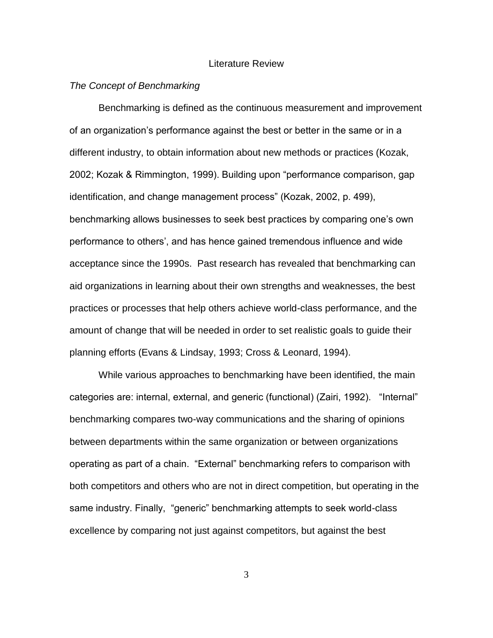#### Literature Review

#### *The Concept of Benchmarking*

Benchmarking is defined as the continuous measurement and improvement of an organization"s performance against the best or better in the same or in a different industry, to obtain information about new methods or practices (Kozak, 2002; Kozak & Rimmington, 1999). Building upon "performance comparison, gap identification, and change management process" (Kozak, 2002, p. 499), benchmarking allows businesses to seek best practices by comparing one"s own performance to others", and has hence gained tremendous influence and wide acceptance since the 1990s. Past research has revealed that benchmarking can aid organizations in learning about their own strengths and weaknesses, the best practices or processes that help others achieve world-class performance, and the amount of change that will be needed in order to set realistic goals to guide their planning efforts (Evans & Lindsay, 1993; Cross & Leonard, 1994).

While various approaches to benchmarking have been identified, the main categories are: internal, external, and generic (functional) (Zairi, 1992). "Internal" benchmarking compares two-way communications and the sharing of opinions between departments within the same organization or between organizations operating as part of a chain. "External" benchmarking refers to comparison with both competitors and others who are not in direct competition, but operating in the same industry. Finally, "generic" benchmarking attempts to seek world-class excellence by comparing not just against competitors, but against the best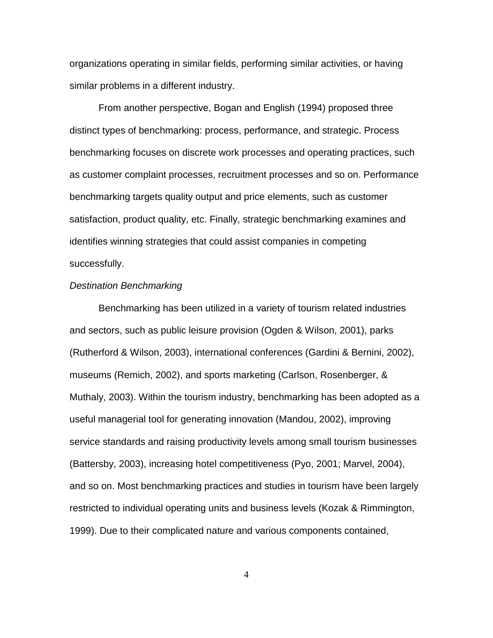organizations operating in similar fields, performing similar activities, or having similar problems in a different industry.

From another perspective, Bogan and English (1994) proposed three distinct types of benchmarking: process, performance, and strategic. Process benchmarking focuses on discrete work processes and operating practices, such as customer complaint processes, recruitment processes and so on. Performance benchmarking targets quality output and price elements, such as customer satisfaction, product quality, etc. Finally, strategic benchmarking examines and identifies winning strategies that could assist companies in competing successfully.

#### *Destination Benchmarking*

Benchmarking has been utilized in a variety of tourism related industries and sectors, such as public leisure provision (Ogden & Wilson, 2001), parks (Rutherford & Wilson, 2003), international conferences (Gardini & Bernini, 2002), museums (Remich, 2002), and sports marketing (Carlson, Rosenberger, & Muthaly, 2003). Within the tourism industry, benchmarking has been adopted as a useful managerial tool for generating innovation (Mandou, 2002), improving service standards and raising productivity levels among small tourism businesses (Battersby, 2003), increasing hotel competitiveness (Pyo, 2001; Marvel, 2004), and so on. Most benchmarking practices and studies in tourism have been largely restricted to individual operating units and business levels (Kozak & Rimmington, 1999). Due to their complicated nature and various components contained,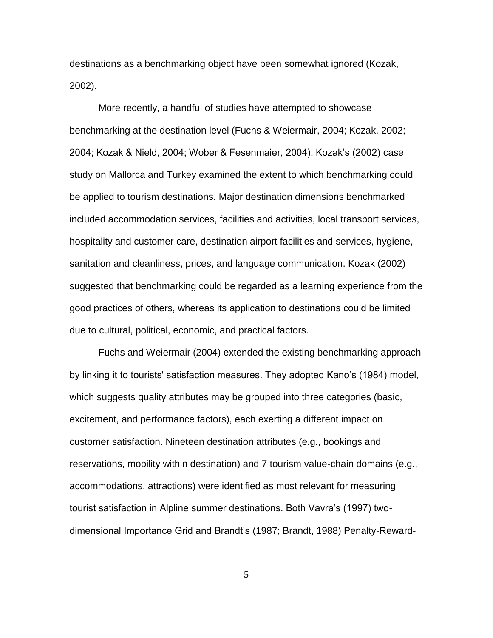destinations as a benchmarking object have been somewhat ignored (Kozak, 2002).

More recently, a handful of studies have attempted to showcase benchmarking at the destination level (Fuchs & Weiermair, 2004; Kozak, 2002; 2004; Kozak & Nield, 2004; Wober & Fesenmaier, 2004). Kozak"s (2002) case study on Mallorca and Turkey examined the extent to which benchmarking could be applied to tourism destinations. Major destination dimensions benchmarked included accommodation services, facilities and activities, local transport services, hospitality and customer care, destination airport facilities and services, hygiene, sanitation and cleanliness, prices, and language communication. Kozak (2002) suggested that benchmarking could be regarded as a learning experience from the good practices of others, whereas its application to destinations could be limited due to cultural, political, economic, and practical factors.

Fuchs and Weiermair (2004) extended the existing benchmarking approach by linking it to tourists' satisfaction measures. They adopted Kano's (1984) model, which suggests quality attributes may be grouped into three categories (basic, excitement, and performance factors), each exerting a different impact on customer satisfaction. Nineteen destination attributes (e.g., bookings and reservations, mobility within destination) and 7 tourism value-chain domains (e.g., accommodations, attractions) were identified as most relevant for measuring tourist satisfaction in Alpline summer destinations. Both Vavra"s (1997) twodimensional Importance Grid and Brandt"s (1987; Brandt, 1988) Penalty-Reward-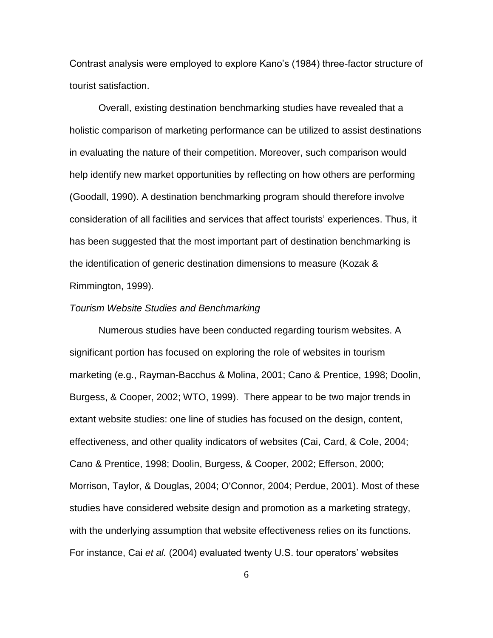Contrast analysis were employed to explore Kano"s (1984) three-factor structure of tourist satisfaction.

Overall, existing destination benchmarking studies have revealed that a holistic comparison of marketing performance can be utilized to assist destinations in evaluating the nature of their competition. Moreover, such comparison would help identify new market opportunities by reflecting on how others are performing (Goodall, 1990). A destination benchmarking program should therefore involve consideration of all facilities and services that affect tourists" experiences. Thus, it has been suggested that the most important part of destination benchmarking is the identification of generic destination dimensions to measure (Kozak & Rimmington, 1999).

### *Tourism Website Studies and Benchmarking*

Numerous studies have been conducted regarding tourism websites. A significant portion has focused on exploring the role of websites in tourism marketing (e.g., Rayman-Bacchus & Molina, 2001; Cano & Prentice, 1998; Doolin, Burgess, & Cooper, 2002; WTO, 1999). There appear to be two major trends in extant website studies: one line of studies has focused on the design, content, effectiveness, and other quality indicators of websites (Cai, Card, & Cole, 2004; Cano & Prentice, 1998; Doolin, Burgess, & Cooper, 2002; Efferson, 2000; Morrison, Taylor, & Douglas, 2004; O'Connor, 2004; Perdue, 2001). Most of these studies have considered website design and promotion as a marketing strategy, with the underlying assumption that website effectiveness relies on its functions. For instance, Cai *et al.* (2004) evaluated twenty U.S. tour operators' websites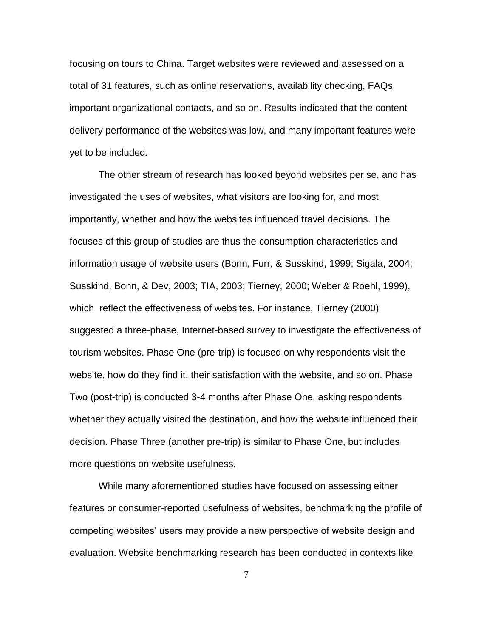focusing on tours to China. Target websites were reviewed and assessed on a total of 31 features, such as online reservations, availability checking, FAQs, important organizational contacts, and so on. Results indicated that the content delivery performance of the websites was low, and many important features were yet to be included.

The other stream of research has looked beyond websites per se, and has investigated the uses of websites, what visitors are looking for, and most importantly, whether and how the websites influenced travel decisions. The focuses of this group of studies are thus the consumption characteristics and information usage of website users (Bonn, Furr, & Susskind, 1999; Sigala, 2004; Susskind, Bonn, & Dev, 2003; TIA, 2003; Tierney, 2000; Weber & Roehl, 1999), which reflect the effectiveness of websites. For instance, Tierney (2000) suggested a three-phase, Internet-based survey to investigate the effectiveness of tourism websites. Phase One (pre-trip) is focused on why respondents visit the website, how do they find it, their satisfaction with the website, and so on. Phase Two (post-trip) is conducted 3-4 months after Phase One, asking respondents whether they actually visited the destination, and how the website influenced their decision. Phase Three (another pre-trip) is similar to Phase One, but includes more questions on website usefulness.

While many aforementioned studies have focused on assessing either features or consumer-reported usefulness of websites, benchmarking the profile of competing websites" users may provide a new perspective of website design and evaluation. Website benchmarking research has been conducted in contexts like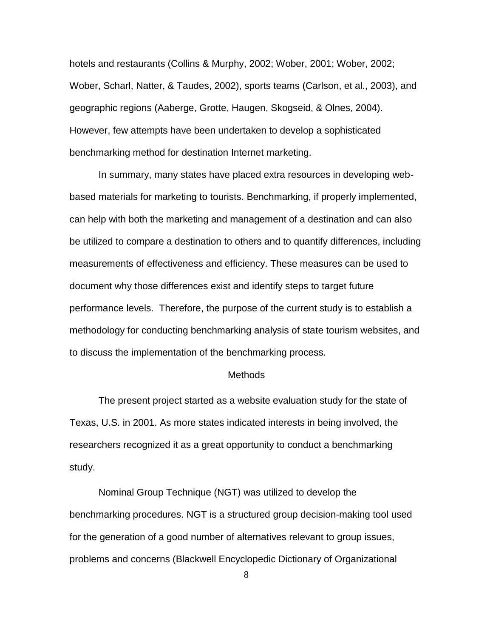hotels and restaurants (Collins & Murphy, 2002; Wober, 2001; Wober, 2002; Wober, Scharl, Natter, & Taudes, 2002), sports teams (Carlson, et al., 2003), and geographic regions (Aaberge, Grotte, Haugen, Skogseid, & Olnes, 2004). However, few attempts have been undertaken to develop a sophisticated benchmarking method for destination Internet marketing.

In summary, many states have placed extra resources in developing webbased materials for marketing to tourists. Benchmarking, if properly implemented, can help with both the marketing and management of a destination and can also be utilized to compare a destination to others and to quantify differences, including measurements of effectiveness and efficiency. These measures can be used to document why those differences exist and identify steps to target future performance levels. Therefore, the purpose of the current study is to establish a methodology for conducting benchmarking analysis of state tourism websites, and to discuss the implementation of the benchmarking process.

#### Methods

The present project started as a website evaluation study for the state of Texas, U.S. in 2001. As more states indicated interests in being involved, the researchers recognized it as a great opportunity to conduct a benchmarking study.

Nominal Group Technique (NGT) was utilized to develop the benchmarking procedures. NGT is a structured group decision-making tool used for the generation of a good number of alternatives relevant to group issues, problems and concerns (Blackwell Encyclopedic Dictionary of Organizational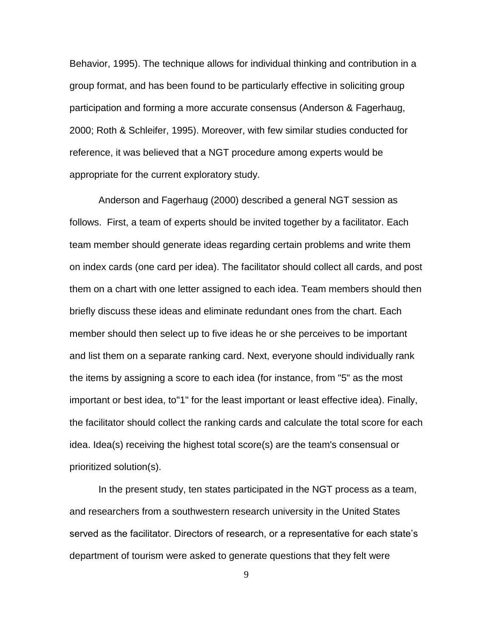Behavior, 1995). The technique allows for individual thinking and contribution in a group format, and has been found to be particularly effective in soliciting group participation and forming a more accurate consensus (Anderson & Fagerhaug, 2000; Roth & Schleifer, 1995). Moreover, with few similar studies conducted for reference, it was believed that a NGT procedure among experts would be appropriate for the current exploratory study.

Anderson and Fagerhaug (2000) described a general NGT session as follows. First, a team of experts should be invited together by a facilitator. Each team member should generate ideas regarding certain problems and write them on index cards (one card per idea). The facilitator should collect all cards, and post them on a chart with one letter assigned to each idea. Team members should then briefly discuss these ideas and eliminate redundant ones from the chart. Each member should then select up to five ideas he or she perceives to be important and list them on a separate ranking card. Next, everyone should individually rank the items by assigning a score to each idea (for instance, from "5" as the most important or best idea, to"1" for the least important or least effective idea). Finally, the facilitator should collect the ranking cards and calculate the total score for each idea. Idea(s) receiving the highest total score(s) are the team's consensual or prioritized solution(s).

In the present study, ten states participated in the NGT process as a team, and researchers from a southwestern research university in the United States served as the facilitator. Directors of research, or a representative for each state"s department of tourism were asked to generate questions that they felt were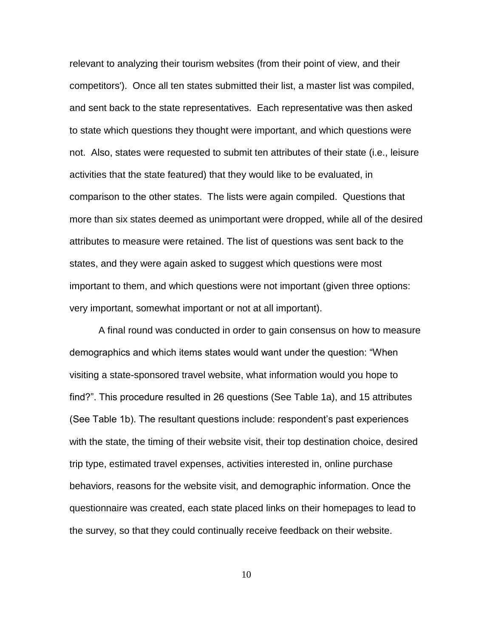relevant to analyzing their tourism websites (from their point of view, and their competitors'). Once all ten states submitted their list, a master list was compiled, and sent back to the state representatives. Each representative was then asked to state which questions they thought were important, and which questions were not. Also, states were requested to submit ten attributes of their state (i.e., leisure activities that the state featured) that they would like to be evaluated, in comparison to the other states. The lists were again compiled. Questions that more than six states deemed as unimportant were dropped, while all of the desired attributes to measure were retained. The list of questions was sent back to the states, and they were again asked to suggest which questions were most important to them, and which questions were not important (given three options: very important, somewhat important or not at all important).

A final round was conducted in order to gain consensus on how to measure demographics and which items states would want under the question: "When visiting a state-sponsored travel website, what information would you hope to find?". This procedure resulted in 26 questions (See Table 1a), and 15 attributes (See Table 1b). The resultant questions include: respondent"s past experiences with the state, the timing of their website visit, their top destination choice, desired trip type, estimated travel expenses, activities interested in, online purchase behaviors, reasons for the website visit, and demographic information. Once the questionnaire was created, each state placed links on their homepages to lead to the survey, so that they could continually receive feedback on their website.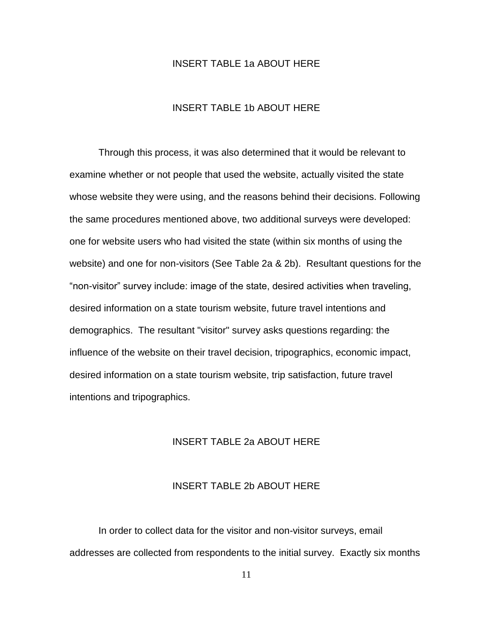## INSERT TABLE 1a ABOUT HERE

## INSERT TABLE 1b ABOUT HERE

Through this process, it was also determined that it would be relevant to examine whether or not people that used the website, actually visited the state whose website they were using, and the reasons behind their decisions. Following the same procedures mentioned above, two additional surveys were developed: one for website users who had visited the state (within six months of using the website) and one for non-visitors (See Table 2a & 2b). Resultant questions for the "non-visitor" survey include: image of the state, desired activities when traveling, desired information on a state tourism website, future travel intentions and demographics. The resultant "visitor" survey asks questions regarding: the influence of the website on their travel decision, tripographics, economic impact, desired information on a state tourism website, trip satisfaction, future travel intentions and tripographics.

## INSERT TABLE 2a ABOUT HERE

## INSERT TABLE 2b ABOUT HERE

In order to collect data for the visitor and non-visitor surveys, email addresses are collected from respondents to the initial survey. Exactly six months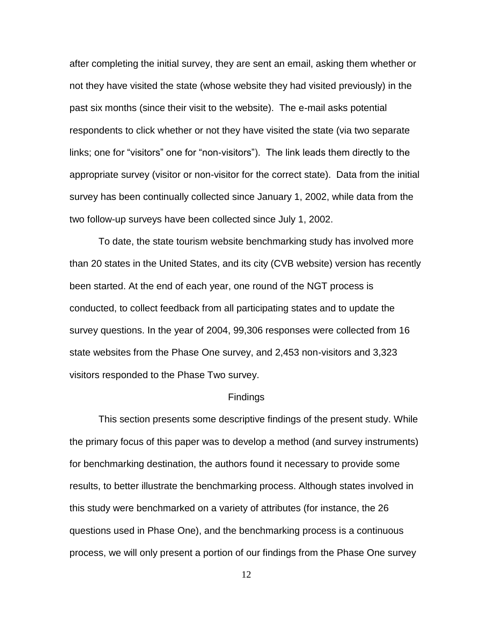after completing the initial survey, they are sent an email, asking them whether or not they have visited the state (whose website they had visited previously) in the past six months (since their visit to the website). The e-mail asks potential respondents to click whether or not they have visited the state (via two separate links; one for "visitors" one for "non-visitors"). The link leads them directly to the appropriate survey (visitor or non-visitor for the correct state). Data from the initial survey has been continually collected since January 1, 2002, while data from the two follow-up surveys have been collected since July 1, 2002.

To date, the state tourism website benchmarking study has involved more than 20 states in the United States, and its city (CVB website) version has recently been started. At the end of each year, one round of the NGT process is conducted, to collect feedback from all participating states and to update the survey questions. In the year of 2004, 99,306 responses were collected from 16 state websites from the Phase One survey, and 2,453 non-visitors and 3,323 visitors responded to the Phase Two survey.

#### **Findings**

This section presents some descriptive findings of the present study. While the primary focus of this paper was to develop a method (and survey instruments) for benchmarking destination, the authors found it necessary to provide some results, to better illustrate the benchmarking process. Although states involved in this study were benchmarked on a variety of attributes (for instance, the 26 questions used in Phase One), and the benchmarking process is a continuous process, we will only present a portion of our findings from the Phase One survey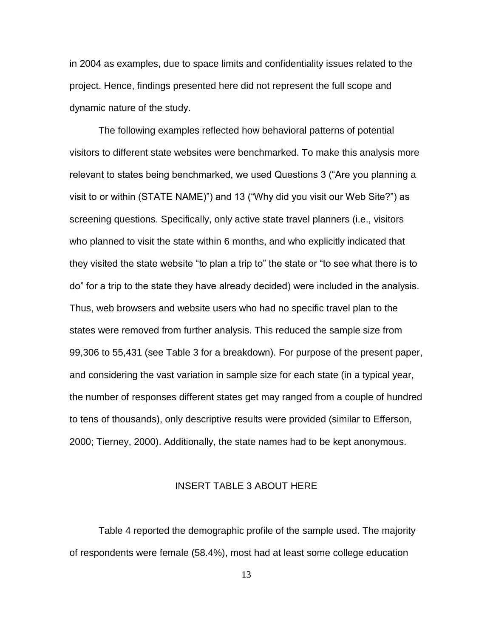in 2004 as examples, due to space limits and confidentiality issues related to the project. Hence, findings presented here did not represent the full scope and dynamic nature of the study.

The following examples reflected how behavioral patterns of potential visitors to different state websites were benchmarked. To make this analysis more relevant to states being benchmarked, we used Questions 3 ("Are you planning a visit to or within (STATE NAME)") and 13 ("Why did you visit our Web Site?") as screening questions. Specifically, only active state travel planners (i.e., visitors who planned to visit the state within 6 months, and who explicitly indicated that they visited the state website "to plan a trip to" the state or "to see what there is to do" for a trip to the state they have already decided) were included in the analysis. Thus, web browsers and website users who had no specific travel plan to the states were removed from further analysis. This reduced the sample size from 99,306 to 55,431 (see Table 3 for a breakdown). For purpose of the present paper, and considering the vast variation in sample size for each state (in a typical year, the number of responses different states get may ranged from a couple of hundred to tens of thousands), only descriptive results were provided (similar to Efferson, 2000; Tierney, 2000). Additionally, the state names had to be kept anonymous.

#### INSERT TABLE 3 ABOUT HERE

Table 4 reported the demographic profile of the sample used. The majority of respondents were female (58.4%), most had at least some college education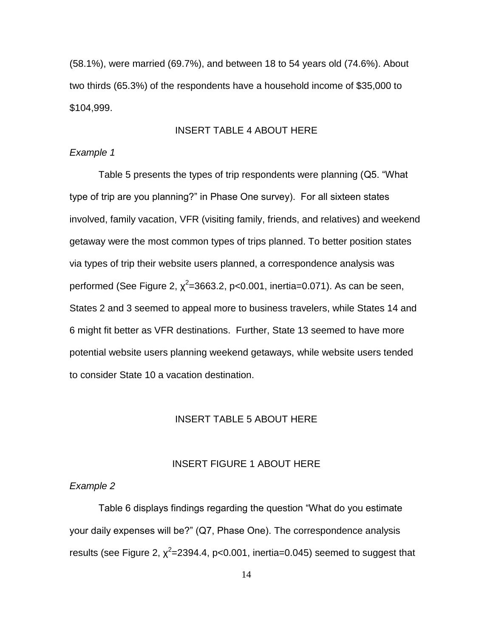(58.1%), were married (69.7%), and between 18 to 54 years old (74.6%). About two thirds (65.3%) of the respondents have a household income of \$35,000 to \$104,999.

## INSERT TABLE 4 ABOUT HERE

## *Example 1*

Table 5 presents the types of trip respondents were planning (Q5. "What type of trip are you planning?" in Phase One survey). For all sixteen states involved, family vacation, VFR (visiting family, friends, and relatives) and weekend getaway were the most common types of trips planned. To better position states via types of trip their website users planned, a correspondence analysis was performed (See Figure 2,  $\chi^2$ =3663.2, p<0.001, inertia=0.071). As can be seen, States 2 and 3 seemed to appeal more to business travelers, while States 14 and 6 might fit better as VFR destinations. Further, State 13 seemed to have more potential website users planning weekend getaways, while website users tended to consider State 10 a vacation destination.

### INSERT TABLE 5 ABOUT HERE

#### INSERT FIGURE 1 ABOUT HERE

#### *Example 2*

Table 6 displays findings regarding the question "What do you estimate your daily expenses will be?" (Q7, Phase One). The correspondence analysis results (see Figure 2,  $\chi^2$ =2394.4, p<0.001, inertia=0.045) seemed to suggest that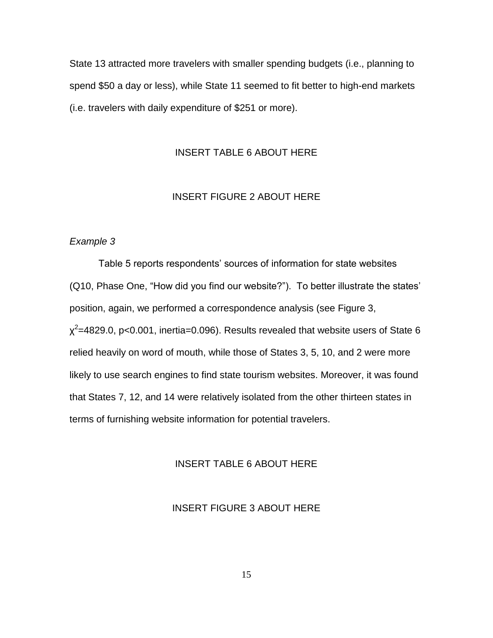State 13 attracted more travelers with smaller spending budgets (i.e., planning to spend \$50 a day or less), while State 11 seemed to fit better to high-end markets (i.e. travelers with daily expenditure of \$251 or more).

## INSERT TABLE 6 ABOUT HERE

### INSERT FIGURE 2 ABOUT HERE

#### *Example 3*

Table 5 reports respondents' sources of information for state websites (Q10, Phase One, "How did you find our website?"). To better illustrate the states" position, again, we performed a correspondence analysis (see Figure 3,  $\chi^2$ =4829.0, p<0.001, inertia=0.096). Results revealed that website users of State 6 relied heavily on word of mouth, while those of States 3, 5, 10, and 2 were more likely to use search engines to find state tourism websites. Moreover, it was found that States 7, 12, and 14 were relatively isolated from the other thirteen states in terms of furnishing website information for potential travelers.

## INSERT TABLE 6 ABOUT HERE

#### INSERT FIGURE 3 ABOUT HERE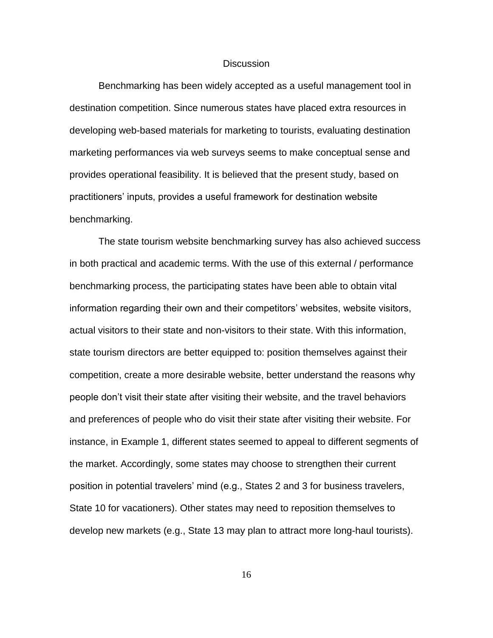#### **Discussion**

Benchmarking has been widely accepted as a useful management tool in destination competition. Since numerous states have placed extra resources in developing web-based materials for marketing to tourists, evaluating destination marketing performances via web surveys seems to make conceptual sense and provides operational feasibility. It is believed that the present study, based on practitioners" inputs, provides a useful framework for destination website benchmarking.

The state tourism website benchmarking survey has also achieved success in both practical and academic terms. With the use of this external / performance benchmarking process, the participating states have been able to obtain vital information regarding their own and their competitors' websites, website visitors, actual visitors to their state and non-visitors to their state. With this information, state tourism directors are better equipped to: position themselves against their competition, create a more desirable website, better understand the reasons why people don"t visit their state after visiting their website, and the travel behaviors and preferences of people who do visit their state after visiting their website. For instance, in Example 1, different states seemed to appeal to different segments of the market. Accordingly, some states may choose to strengthen their current position in potential travelers" mind (e.g., States 2 and 3 for business travelers, State 10 for vacationers). Other states may need to reposition themselves to develop new markets (e.g., State 13 may plan to attract more long-haul tourists).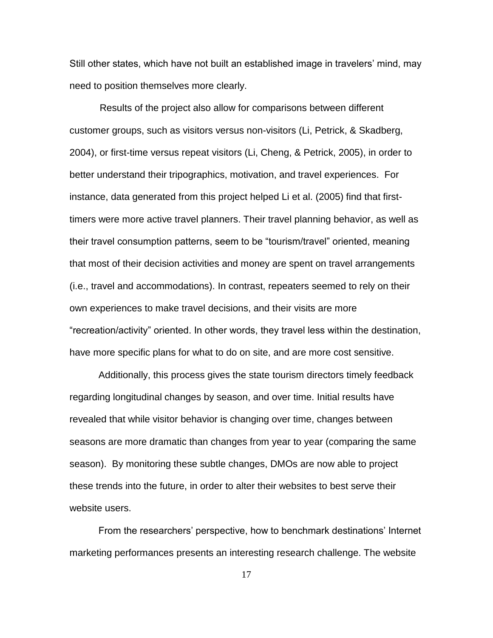Still other states, which have not built an established image in travelers" mind, may need to position themselves more clearly.

Results of the project also allow for comparisons between different customer groups, such as visitors versus non-visitors (Li, Petrick, & Skadberg, 2004), or first-time versus repeat visitors (Li, Cheng, & Petrick, 2005), in order to better understand their tripographics, motivation, and travel experiences. For instance, data generated from this project helped Li et al. (2005) find that firsttimers were more active travel planners. Their travel planning behavior, as well as their travel consumption patterns, seem to be "tourism/travel" oriented, meaning that most of their decision activities and money are spent on travel arrangements (i.e., travel and accommodations). In contrast, repeaters seemed to rely on their own experiences to make travel decisions, and their visits are more "recreation/activity" oriented. In other words, they travel less within the destination, have more specific plans for what to do on site, and are more cost sensitive.

Additionally, this process gives the state tourism directors timely feedback regarding longitudinal changes by season, and over time. Initial results have revealed that while visitor behavior is changing over time, changes between seasons are more dramatic than changes from year to year (comparing the same season). By monitoring these subtle changes, DMOs are now able to project these trends into the future, in order to alter their websites to best serve their website users.

From the researchers" perspective, how to benchmark destinations" Internet marketing performances presents an interesting research challenge. The website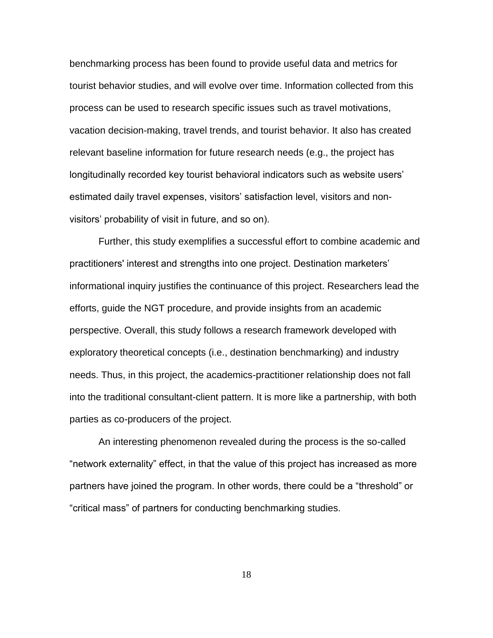benchmarking process has been found to provide useful data and metrics for tourist behavior studies, and will evolve over time. Information collected from this process can be used to research specific issues such as travel motivations, vacation decision-making, travel trends, and tourist behavior. It also has created relevant baseline information for future research needs (e.g., the project has longitudinally recorded key tourist behavioral indicators such as website users" estimated daily travel expenses, visitors" satisfaction level, visitors and nonvisitors" probability of visit in future, and so on).

Further, this study exemplifies a successful effort to combine academic and practitioners' interest and strengths into one project. Destination marketers" informational inquiry justifies the continuance of this project. Researchers lead the efforts, guide the NGT procedure, and provide insights from an academic perspective. Overall, this study follows a research framework developed with exploratory theoretical concepts (i.e., destination benchmarking) and industry needs. Thus, in this project, the academics-practitioner relationship does not fall into the traditional consultant-client pattern. It is more like a partnership, with both parties as co-producers of the project.

An interesting phenomenon revealed during the process is the so-called "network externality" effect, in that the value of this project has increased as more partners have joined the program. In other words, there could be a "threshold" or "critical mass" of partners for conducting benchmarking studies.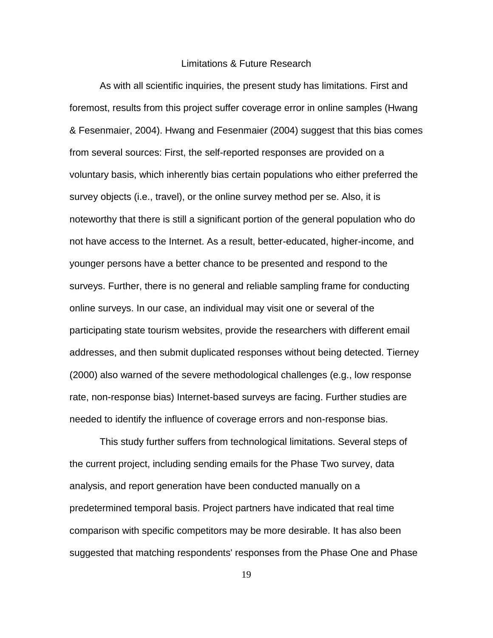#### Limitations & Future Research

As with all scientific inquiries, the present study has limitations. First and foremost, results from this project suffer coverage error in online samples (Hwang & Fesenmaier, 2004). Hwang and Fesenmaier (2004) suggest that this bias comes from several sources: First, the self-reported responses are provided on a voluntary basis, which inherently bias certain populations who either preferred the survey objects (i.e., travel), or the online survey method per se. Also, it is noteworthy that there is still a significant portion of the general population who do not have access to the Internet. As a result, better-educated, higher-income, and younger persons have a better chance to be presented and respond to the surveys. Further, there is no general and reliable sampling frame for conducting online surveys. In our case, an individual may visit one or several of the participating state tourism websites, provide the researchers with different email addresses, and then submit duplicated responses without being detected. Tierney (2000) also warned of the severe methodological challenges (e.g., low response rate, non-response bias) Internet-based surveys are facing. Further studies are needed to identify the influence of coverage errors and non-response bias.

This study further suffers from technological limitations. Several steps of the current project, including sending emails for the Phase Two survey, data analysis, and report generation have been conducted manually on a predetermined temporal basis. Project partners have indicated that real time comparison with specific competitors may be more desirable. It has also been suggested that matching respondents' responses from the Phase One and Phase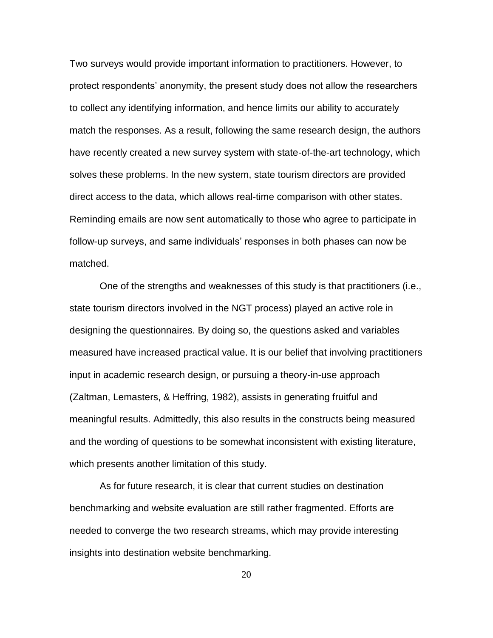Two surveys would provide important information to practitioners. However, to protect respondents" anonymity, the present study does not allow the researchers to collect any identifying information, and hence limits our ability to accurately match the responses. As a result, following the same research design, the authors have recently created a new survey system with state-of-the-art technology, which solves these problems. In the new system, state tourism directors are provided direct access to the data, which allows real-time comparison with other states. Reminding emails are now sent automatically to those who agree to participate in follow-up surveys, and same individuals' responses in both phases can now be matched.

One of the strengths and weaknesses of this study is that practitioners (i.e., state tourism directors involved in the NGT process) played an active role in designing the questionnaires. By doing so, the questions asked and variables measured have increased practical value. It is our belief that involving practitioners input in academic research design, or pursuing a theory-in-use approach (Zaltman, Lemasters, & Heffring, 1982), assists in generating fruitful and meaningful results. Admittedly, this also results in the constructs being measured and the wording of questions to be somewhat inconsistent with existing literature, which presents another limitation of this study.

As for future research, it is clear that current studies on destination benchmarking and website evaluation are still rather fragmented. Efforts are needed to converge the two research streams, which may provide interesting insights into destination website benchmarking.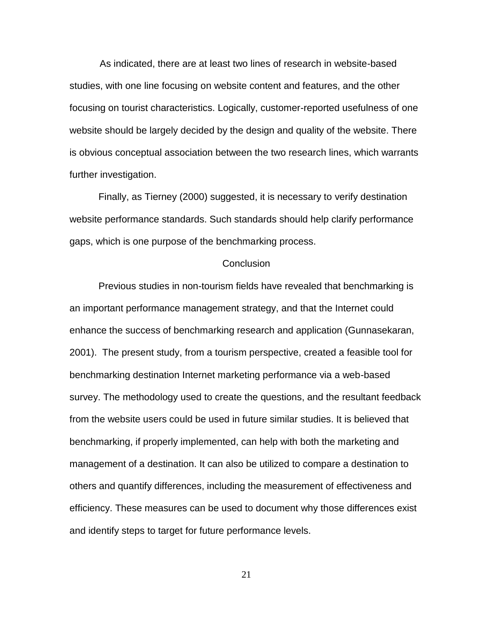As indicated, there are at least two lines of research in website-based studies, with one line focusing on website content and features, and the other focusing on tourist characteristics. Logically, customer-reported usefulness of one website should be largely decided by the design and quality of the website. There is obvious conceptual association between the two research lines, which warrants further investigation.

Finally, as Tierney (2000) suggested, it is necessary to verify destination website performance standards. Such standards should help clarify performance gaps, which is one purpose of the benchmarking process.

#### **Conclusion**

Previous studies in non-tourism fields have revealed that benchmarking is an important performance management strategy, and that the Internet could enhance the success of benchmarking research and application (Gunnasekaran, 2001). The present study, from a tourism perspective, created a feasible tool for benchmarking destination Internet marketing performance via a web-based survey. The methodology used to create the questions, and the resultant feedback from the website users could be used in future similar studies. It is believed that benchmarking, if properly implemented, can help with both the marketing and management of a destination. It can also be utilized to compare a destination to others and quantify differences, including the measurement of effectiveness and efficiency. These measures can be used to document why those differences exist and identify steps to target for future performance levels.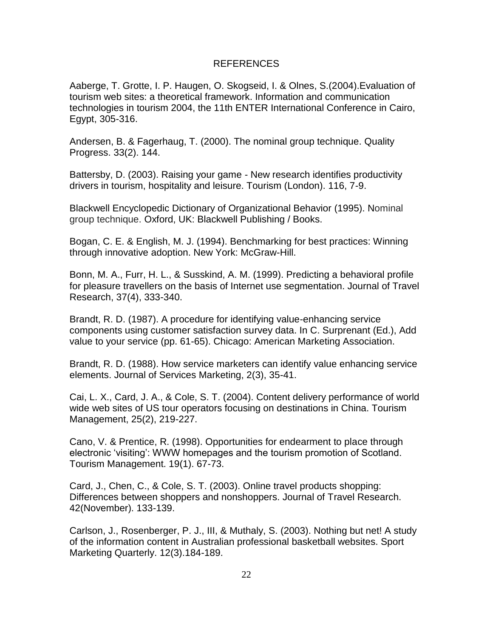## REFERENCES

Aaberge, T. Grotte, I. P. Haugen, O. Skogseid, I. & Olnes, S.(2004).Evaluation of tourism web sites: a theoretical framework. Information and communication technologies in tourism 2004, the 11th ENTER International Conference in Cairo, Egypt, 305-316.

Andersen, B. & Fagerhaug, T. (2000). The nominal group technique. Quality Progress. 33(2). 144.

Battersby, D. (2003). Raising your game - New research identifies productivity drivers in tourism, hospitality and leisure. Tourism (London). 116, 7-9.

Blackwell Encyclopedic Dictionary of Organizational Behavior (1995). Nominal group technique. Oxford, UK: Blackwell Publishing / Books.

Bogan, C. E. & English, M. J. (1994). Benchmarking for best practices: Winning through innovative adoption. New York: McGraw-Hill.

Bonn, M. A., Furr, H. L., & Susskind, A. M. (1999). Predicting a behavioral profile for pleasure travellers on the basis of Internet use segmentation. Journal of Travel Research, 37(4), 333-340.

Brandt, R. D. (1987). A procedure for identifying value-enhancing service components using customer satisfaction survey data. In C. Surprenant (Ed.), Add value to your service (pp. 61-65). Chicago: American Marketing Association.

Brandt, R. D. (1988). How service marketers can identify value enhancing service elements. Journal of Services Marketing, 2(3), 35-41.

Cai, L. X., Card, J. A., & Cole, S. T. (2004). Content delivery performance of world wide web sites of US tour operators focusing on destinations in China. Tourism Management, 25(2), 219-227.

Cano, V. & Prentice, R. (1998). Opportunities for endearment to place through electronic "visiting": WWW homepages and the tourism promotion of Scotland. Tourism Management. 19(1). 67-73.

Card, J., Chen, C., & Cole, S. T. (2003). Online travel products shopping: Differences between shoppers and nonshoppers. Journal of Travel Research. 42(November). 133-139.

Carlson, J., Rosenberger, P. J., III, & Muthaly, S. (2003). Nothing but net! A study of the information content in Australian professional basketball websites. Sport Marketing Quarterly. 12(3).184-189.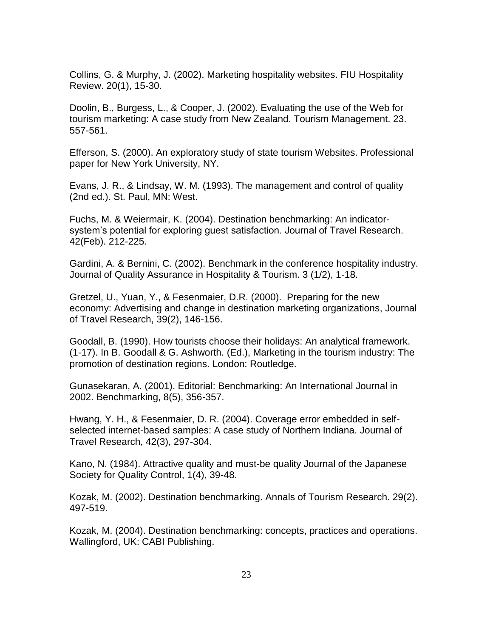Collins, G. & Murphy, J. (2002). Marketing hospitality websites. FIU Hospitality Review. 20(1), 15-30.

Doolin, B., Burgess, L., & Cooper, J. (2002). Evaluating the use of the Web for tourism marketing: A case study from New Zealand. Tourism Management. 23. 557-561.

Efferson, S. (2000). An exploratory study of state tourism Websites. Professional paper for New York University, NY.

Evans, J. R., & Lindsay, W. M. (1993). The management and control of quality (2nd ed.). St. Paul, MN: West.

Fuchs, M. & Weiermair, K. (2004). Destination benchmarking: An indicatorsystem"s potential for exploring guest satisfaction. Journal of Travel Research. 42(Feb). 212-225.

Gardini, A. & Bernini, C. (2002). Benchmark in the conference hospitality industry. Journal of Quality Assurance in Hospitality & Tourism. 3 (1/2), 1-18.

Gretzel, U., Yuan, Y., & Fesenmaier, D.R. (2000). Preparing for the new economy: Advertising and change in destination marketing organizations, Journal of Travel Research, 39(2), 146-156.

Goodall, B. (1990). How tourists choose their holidays: An analytical framework. (1-17). In B. Goodall & G. Ashworth. (Ed.), Marketing in the tourism industry: The promotion of destination regions. London: Routledge.

Gunasekaran, A. (2001). Editorial: Benchmarking: An International Journal in 2002. Benchmarking, 8(5), 356-357.

Hwang, Y. H., & Fesenmaier, D. R. (2004). Coverage error embedded in selfselected internet-based samples: A case study of Northern Indiana. Journal of Travel Research, 42(3), 297-304.

Kano, N. (1984). Attractive quality and must-be quality Journal of the Japanese Society for Quality Control, 1(4), 39-48.

Kozak, M. (2002). Destination benchmarking. Annals of Tourism Research. 29(2). 497-519.

Kozak, M. (2004). Destination benchmarking: concepts, practices and operations. Wallingford, UK: CABI Publishing.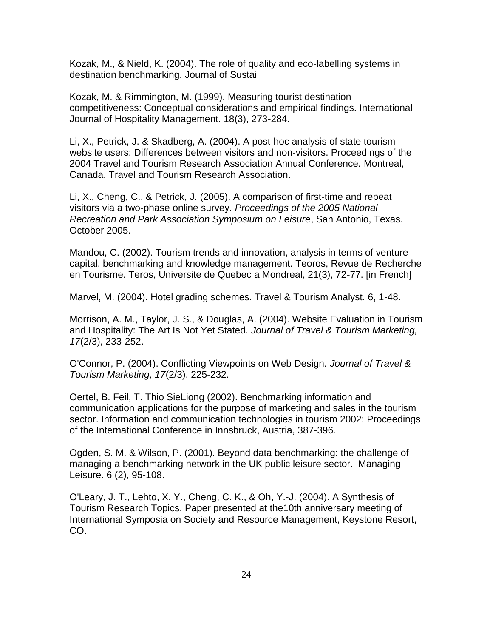Kozak, M., & Nield, K. (2004). The role of quality and eco-labelling systems in destination benchmarking. Journal of Sustai

Kozak, M. & Rimmington, M. (1999). Measuring tourist destination competitiveness: Conceptual considerations and empirical findings. International Journal of Hospitality Management. 18(3), 273-284.

Li, X., Petrick, J. & Skadberg, A. (2004). A post-hoc analysis of state tourism website users: Differences between visitors and non-visitors. Proceedings of the 2004 Travel and Tourism Research Association Annual Conference. Montreal, Canada. Travel and Tourism Research Association.

Li, X., Cheng, C., & Petrick, J. (2005). A comparison of first-time and repeat visitors via a two-phase online survey. *Proceedings of the 2005 National Recreation and Park Association Symposium on Leisure*, San Antonio, Texas. October 2005.

Mandou, C. (2002). Tourism trends and innovation, analysis in terms of venture capital, benchmarking and knowledge management. Teoros, Revue de Recherche en Tourisme. Teros, Universite de Quebec a Mondreal, 21(3), 72-77. [in French]

Marvel, M. (2004). Hotel grading schemes. Travel & Tourism Analyst. 6, 1-48.

Morrison, A. M., Taylor, J. S., & Douglas, A. (2004). Website Evaluation in Tourism and Hospitality: The Art Is Not Yet Stated. *Journal of Travel & Tourism Marketing, 17*(2/3), 233-252.

O'Connor, P. (2004). Conflicting Viewpoints on Web Design. *Journal of Travel & Tourism Marketing, 17*(2/3), 225-232.

Oertel, B. Feil, T. Thio SieLiong (2002). Benchmarking information and communication applications for the purpose of marketing and sales in the tourism sector. Information and communication technologies in tourism 2002: Proceedings of the International Conference in Innsbruck, Austria, 387-396.

Ogden, S. M. & Wilson, P. (2001). Beyond data benchmarking: the challenge of managing a benchmarking network in the UK public leisure sector. Managing Leisure. 6 (2), 95-108.

O'Leary, J. T., Lehto, X. Y., Cheng, C. K., & Oh, Y.-J. (2004). A Synthesis of Tourism Research Topics. Paper presented at the10th anniversary meeting of International Symposia on Society and Resource Management, Keystone Resort, CO.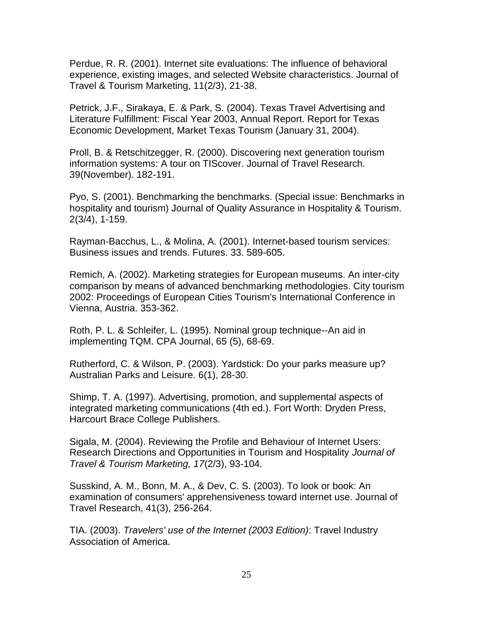Perdue, R. R. (2001). Internet site evaluations: The influence of behavioral experience, existing images, and selected Website characteristics. Journal of Travel & Tourism Marketing, 11(2/3), 21-38.

Petrick, J.F., Sirakaya, E. & Park, S. (2004). Texas Travel Advertising and Literature Fulfillment: Fiscal Year 2003, Annual Report. Report for Texas Economic Development, Market Texas Tourism (January 31, 2004).

Proll, B. & Retschitzegger, R. (2000). Discovering next generation tourism information systems: A tour on TIScover. Journal of Travel Research. 39(November). 182-191.

Pyo, S. (2001). Benchmarking the benchmarks. (Special issue: Benchmarks in hospitality and tourism) Journal of Quality Assurance in Hospitality & Tourism. 2(3/4), 1-159.

Rayman-Bacchus, L., & Molina, A. (2001). Internet-based tourism services: Business issues and trends. Futures. 33. 589-605.

Remich, A. (2002). Marketing strategies for European museums. An inter-city comparison by means of advanced benchmarking methodologies. City tourism 2002: Proceedings of European Cities Tourism's International Conference in Vienna, Austria. 353-362.

Roth, P. L. & Schleifer, L. (1995). Nominal group technique--An aid in implementing TQM. CPA Journal, 65 (5), 68-69.

Rutherford, C. & Wilson, P. (2003). Yardstick: Do your parks measure up? Australian Parks and Leisure. 6(1), 28-30.

Shimp, T. A. (1997). Advertising, promotion, and supplemental aspects of integrated marketing communications (4th ed.). Fort Worth: Dryden Press, Harcourt Brace College Publishers.

Sigala, M. (2004). Reviewing the Profile and Behaviour of Internet Users: Research Directions and Opportunities in Tourism and Hospitality *Journal of Travel & Tourism Marketing, 17*(2/3), 93-104.

Susskind, A. M., Bonn, M. A., & Dev, C. S. (2003). To look or book: An examination of consumers' apprehensiveness toward internet use. Journal of Travel Research, 41(3), 256-264.

TIA. (2003). *Travelers' use of the Internet (2003 Edition)*: Travel Industry Association of America.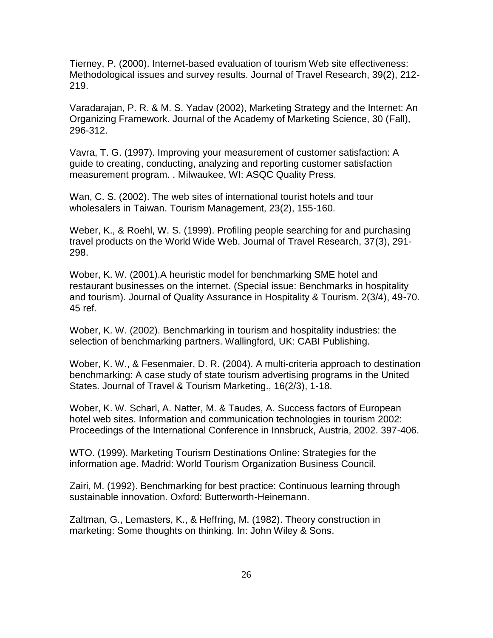Tierney, P. (2000). Internet-based evaluation of tourism Web site effectiveness: Methodological issues and survey results. Journal of Travel Research, 39(2), 212- 219.

Varadarajan, P. R. & M. S. Yadav (2002), Marketing Strategy and the Internet: An Organizing Framework. Journal of the Academy of Marketing Science, 30 (Fall), 296-312.

Vavra, T. G. (1997). Improving your measurement of customer satisfaction: A guide to creating, conducting, analyzing and reporting customer satisfaction measurement program. . Milwaukee, WI: ASQC Quality Press.

Wan, C. S. (2002). The web sites of international tourist hotels and tour wholesalers in Taiwan. Tourism Management, 23(2), 155-160.

Weber, K., & Roehl, W. S. (1999). Profiling people searching for and purchasing travel products on the World Wide Web. Journal of Travel Research, 37(3), 291- 298.

Wober, K. W. (2001).A heuristic model for benchmarking SME hotel and restaurant businesses on the internet. (Special issue: Benchmarks in hospitality and tourism). Journal of Quality Assurance in Hospitality & Tourism. 2(3/4), 49-70. 45 ref.

Wober, K. W. (2002). Benchmarking in tourism and hospitality industries: the selection of benchmarking partners. Wallingford, UK: CABI Publishing.

Wober, K. W., & Fesenmaier, D. R. (2004). A multi-criteria approach to destination benchmarking: A case study of state tourism advertising programs in the United States. Journal of Travel & Tourism Marketing., 16(2/3), 1-18.

Wober, K. W. Scharl, A. Natter, M. & Taudes, A. Success factors of European hotel web sites. Information and communication technologies in tourism 2002: Proceedings of the International Conference in Innsbruck, Austria, 2002. 397-406.

WTO. (1999). Marketing Tourism Destinations Online: Strategies for the information age. Madrid: World Tourism Organization Business Council.

Zairi, M. (1992). Benchmarking for best practice: Continuous learning through sustainable innovation. Oxford: Butterworth-Heinemann.

Zaltman, G., Lemasters, K., & Heffring, M. (1982). Theory construction in marketing: Some thoughts on thinking. In: John Wiley & Sons.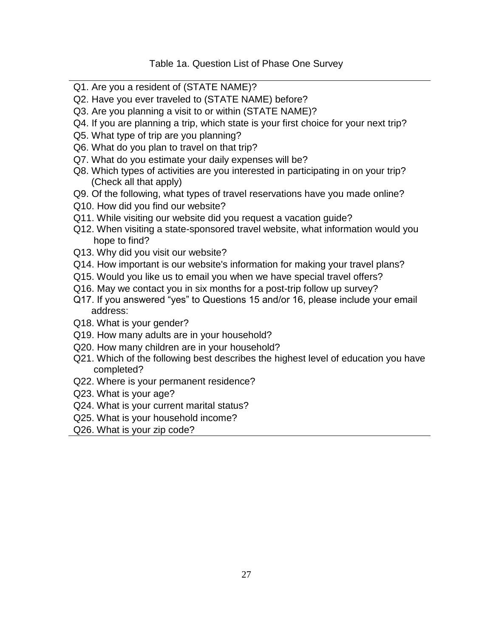#### Table 1a. Question List of Phase One Survey

- Q1. Are you a resident of (STATE NAME)?
- Q2. Have you ever traveled to (STATE NAME) before?
- Q3. Are you planning a visit to or within (STATE NAME)?
- Q4. If you are planning a trip, which state is your first choice for your next trip?
- Q5. What type of trip are you planning?
- Q6. What do you plan to travel on that trip?
- Q7. What do you estimate your daily expenses will be?
- Q8. Which types of activities are you interested in participating in on your trip? (Check all that apply)
- Q9. Of the following, what types of travel reservations have you made online?
- Q10. How did you find our website?
- Q11. While visiting our website did you request a vacation guide?
- Q12. When visiting a state-sponsored travel website, what information would you hope to find?
- Q13. Why did you visit our website?
- Q14. How important is our website's information for making your travel plans?
- Q15. Would you like us to email you when we have special travel offers?
- Q16. May we contact you in six months for a post-trip follow up survey?
- Q17. If you answered "yes" to Questions 15 and/or 16, please include your email address:
- Q18. What is your gender?
- Q19. How many adults are in your household?
- Q20. How many children are in your household?
- Q21. Which of the following best describes the highest level of education you have completed?
- Q22. Where is your permanent residence?
- Q23. What is your age?
- Q24. What is your current marital status?
- Q25. What is your household income?
- Q26. What is your zip code?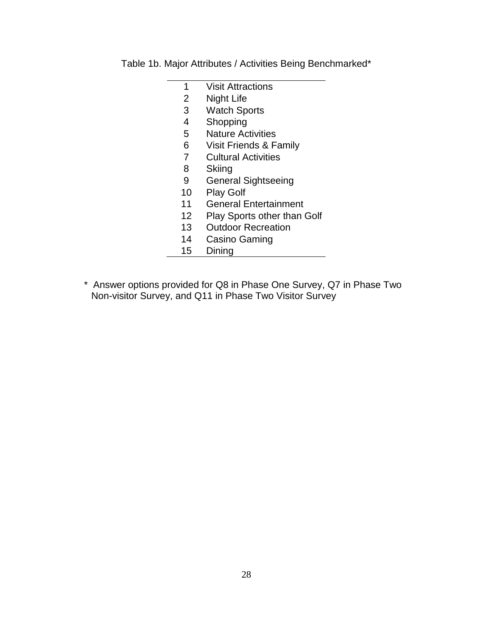Table 1b. Major Attributes / Activities Being Benchmarked\*

- Visit Attractions
- Night Life
- Watch Sports
- Shopping
- Nature Activities
- Visit Friends & Family
- Cultural Activities
- Skiing
- General Sightseeing
- Play Golf
- General Entertainment
- 12 Play Sports other than Golf
- Outdoor Recreation
- Casino Gaming
- Dining
- \* Answer options provided for Q8 in Phase One Survey, Q7 in Phase Two Non-visitor Survey, and Q11 in Phase Two Visitor Survey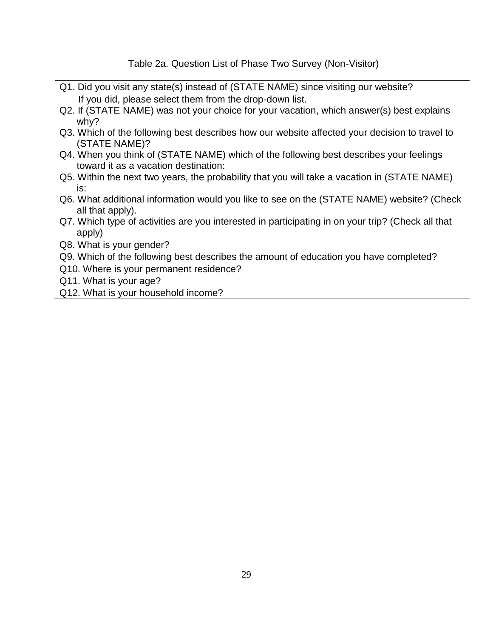Table 2a. Question List of Phase Two Survey (Non-Visitor)

- Q1. Did you visit any state(s) instead of (STATE NAME) since visiting our website? If you did, please select them from the drop-down list.
- Q2. If (STATE NAME) was not your choice for your vacation, which answer(s) best explains why?
- Q3. Which of the following best describes how our website affected your decision to travel to (STATE NAME)?
- Q4. When you think of (STATE NAME) which of the following best describes your feelings toward it as a vacation destination:
- Q5. Within the next two years, the probability that you will take a vacation in (STATE NAME) is:
- Q6. What additional information would you like to see on the (STATE NAME) website? (Check all that apply).
- Q7. Which type of activities are you interested in participating in on your trip? (Check all that apply)
- Q8. What is your gender?
- Q9. Which of the following best describes the amount of education you have completed?
- Q10. Where is your permanent residence?
- Q11. What is your age?
- Q12. What is your household income?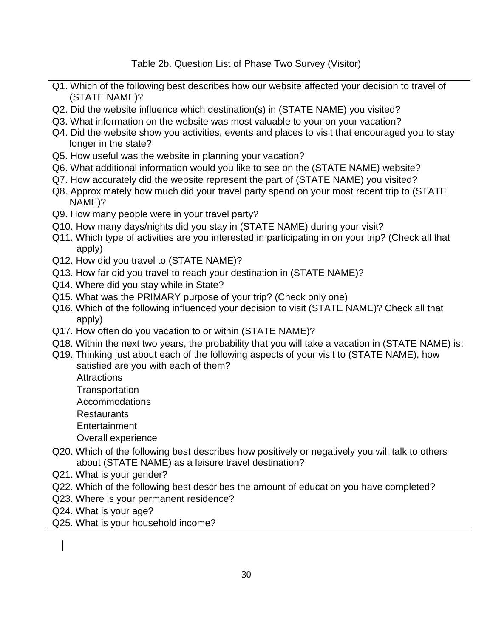- Q1. Which of the following best describes how our website affected your decision to travel of (STATE NAME)?
- Q2. Did the website influence which destination(s) in (STATE NAME) you visited?
- Q3. What information on the website was most valuable to your on your vacation?
- Q4. Did the website show you activities, events and places to visit that encouraged you to stay longer in the state?
- Q5. How useful was the website in planning your vacation?
- Q6. What additional information would you like to see on the (STATE NAME) website?
- Q7. How accurately did the website represent the part of (STATE NAME) you visited?
- Q8. Approximately how much did your travel party spend on your most recent trip to (STATE NAME)?
- Q9. How many people were in your travel party?
- Q10. How many days/nights did you stay in (STATE NAME) during your visit?
- Q11. Which type of activities are you interested in participating in on your trip? (Check all that apply)
- Q12. How did you travel to (STATE NAME)?
- Q13. How far did you travel to reach your destination in (STATE NAME)?
- Q14. Where did you stay while in State?
- Q15. What was the PRIMARY purpose of your trip? (Check only one)
- Q16. Which of the following influenced your decision to visit (STATE NAME)? Check all that apply)
- Q17. How often do you vacation to or within (STATE NAME)?
- Q18. Within the next two years, the probability that you will take a vacation in (STATE NAME) is:
- Q19. Thinking just about each of the following aspects of your visit to (STATE NAME), how satisfied are you with each of them? **Attractions Transportation**

Accommodations

Restaurants

**Entertainment** 

Overall experience

- Q20. Which of the following best describes how positively or negatively you will talk to others about (STATE NAME) as a leisure travel destination?
- Q21. What is your gender?
- Q22. Which of the following best describes the amount of education you have completed?
- Q23. Where is your permanent residence?
- Q24. What is your age?
- Q25. What is your household income?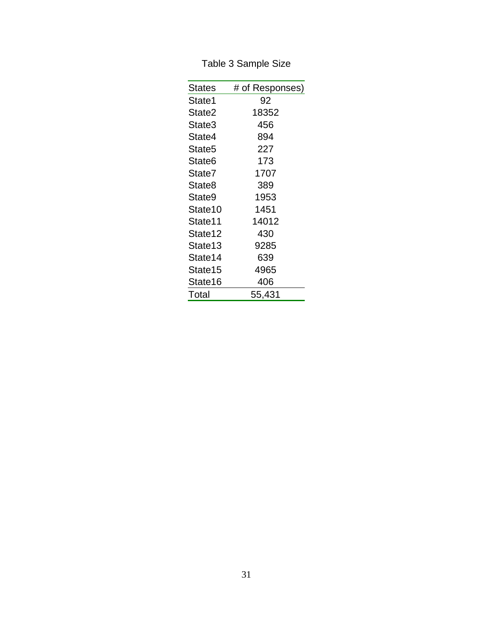## Table 3 Sample Size

| <b>States</b> | # of Responses) |
|---------------|-----------------|
| State1        | 92              |
| State2        | 18352           |
| State3        | 456             |
| State4        | 894             |
| State5        | 227             |
| State6        | 173             |
| State7        | 1707            |
| State8        | 389             |
| State9        | 1953            |
| State10       | 1451            |
| State11       | 14012           |
| State12       | 430             |
| State13       | 9285            |
| State14       | 639             |
| State15       | 4965            |
| State16       | 406             |
| Total         | 55,431          |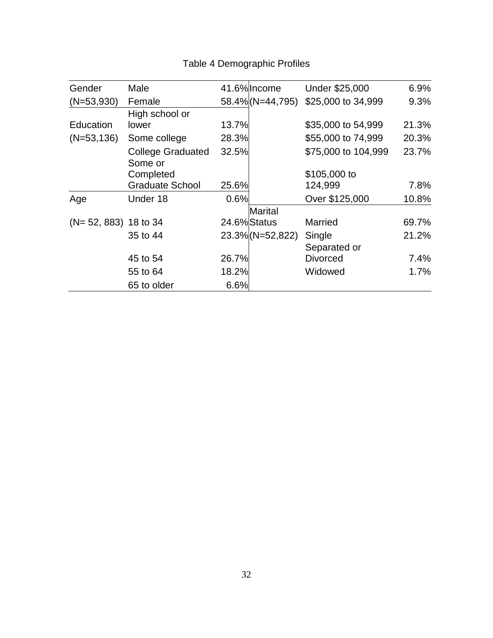| Gender                  | Male                     |       | 41.6% Income     | Under \$25,000      | 6.9%  |
|-------------------------|--------------------------|-------|------------------|---------------------|-------|
| $(N=53,930)$            | Female                   |       | 58.4% (N=44,795) | \$25,000 to 34,999  | 9.3%  |
|                         | High school or           |       |                  |                     |       |
| Education               | lower                    | 13.7% |                  | \$35,000 to 54,999  | 21.3% |
| $(N=53,136)$            | Some college             | 28.3% |                  | \$55,000 to 74,999  | 20.3% |
|                         | <b>College Graduated</b> | 32.5% |                  | \$75,000 to 104,999 | 23.7% |
|                         | Some or                  |       |                  |                     |       |
|                         | Completed                |       |                  | \$105,000 to        |       |
|                         | <b>Graduate School</b>   | 25.6% |                  | 124,999             | 7.8%  |
| Age                     | Under 18                 | 0.6%  |                  | Over \$125,000      | 10.8% |
|                         |                          |       | <b>Marital</b>   |                     |       |
| $(N= 52, 883)$ 18 to 34 |                          |       | 24.6%Status      | <b>Married</b>      | 69.7% |
|                         | 35 to 44                 |       | 23.3% (N=52,822) | Single              | 21.2% |
|                         |                          |       |                  | Separated or        |       |
|                         | 45 to 54                 | 26.7% |                  | <b>Divorced</b>     | 7.4%  |
|                         | 55 to 64                 | 18.2% |                  | Widowed             | 1.7%  |
|                         | 65 to older              | 6.6%  |                  |                     |       |

# Table 4 Demographic Profiles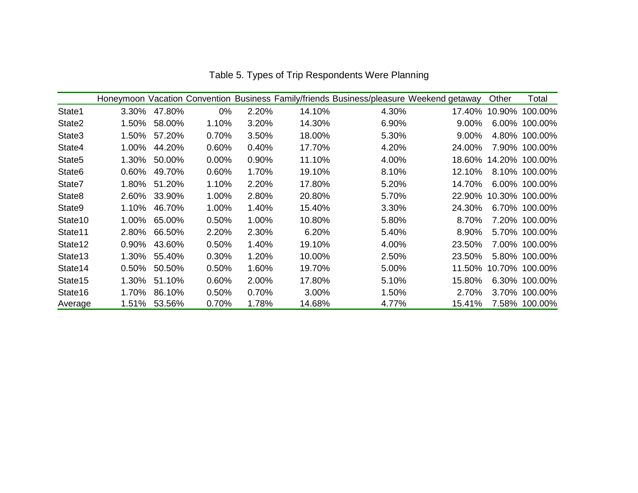|                    |       |        |          |       |        | Honeymoon Vacation Convention Business Family/friends Business/pleasure Weekend getaway |        | Other  | Total          |
|--------------------|-------|--------|----------|-------|--------|-----------------------------------------------------------------------------------------|--------|--------|----------------|
| State1             | 3.30% | 47.80% | $0\%$    | 2.20% | 14.10% | 4.30%                                                                                   | 17.40% | 10.90% | 100.00%        |
| State2             | 1.50% | 58.00% | 1.10%    | 3.20% | 14.30% | 6.90%                                                                                   | 9.00%  | 6.00%  | 100.00%        |
| State3             | 1.50% | 57.20% | 0.70%    | 3.50% | 18.00% | 5.30%                                                                                   | 9.00%  |        | 4.80% 100.00%  |
| State4             | 1.00% | 44.20% | 0.60%    | 0.40% | 17.70% | 4.20%                                                                                   | 24.00% |        | 7.90% 100.00%  |
| State <sub>5</sub> | 1.30% | 50.00% | $0.00\%$ | 0.90% | 11.10% | 4.00%                                                                                   | 18.60% |        | 14.20% 100.00% |
| State <sub>6</sub> | 0.60% | 49.70% | 0.60%    | 1.70% | 19.10% | 8.10%                                                                                   | 12.10% |        | 8.10% 100.00%  |
| State7             | 1.80% | 51.20% | 1.10%    | 2.20% | 17.80% | 5.20%                                                                                   | 14.70% |        | 6.00% 100.00%  |
| State <sub>8</sub> | 2.60% | 33.90% | 1.00%    | 2.80% | 20.80% | 5.70%                                                                                   | 22.90% |        | 10.30% 100.00% |
| State9             | 1.10% | 46.70% | 1.00%    | 1.40% | 15.40% | 3.30%                                                                                   | 24.30% |        | 6.70% 100.00%  |
| State10            | 1.00% | 65.00% | 0.50%    | 1.00% | 10.80% | 5.80%                                                                                   | 8.70%  |        | 7.20% 100.00%  |
| State11            | 2.80% | 66.50% | 2.20%    | 2.30% | 6.20%  | 5.40%                                                                                   | 8.90%  |        | 5.70% 100.00%  |
| State12            | 0.90% | 43.60% | 0.50%    | 1.40% | 19.10% | 4.00%                                                                                   | 23.50% |        | 7.00% 100.00%  |
| State13            | 1.30% | 55.40% | 0.30%    | 1.20% | 10.00% | 2.50%                                                                                   | 23.50% |        | 5.80% 100.00%  |
| State14            | 0.50% | 50.50% | 0.50%    | 1.60% | 19.70% | 5.00%                                                                                   | 11.50% |        | 10.70% 100.00% |
| State15            | 1.30% | 51.10% | 0.60%    | 2.00% | 17.80% | 5.10%                                                                                   | 15.80% |        | 6.30% 100.00%  |
| State16            | 1.70% | 86.10% | 0.50%    | 0.70% | 3.00%  | 1.50%                                                                                   | 2.70%  |        | 3.70% 100.00%  |
| Average            | 1.51% | 53.56% | 0.70%    | 1.78% | 14.68% | 4.77%                                                                                   | 15.41% |        | 7.58% 100.00%  |

Table 5. Types of Trip Respondents Were Planning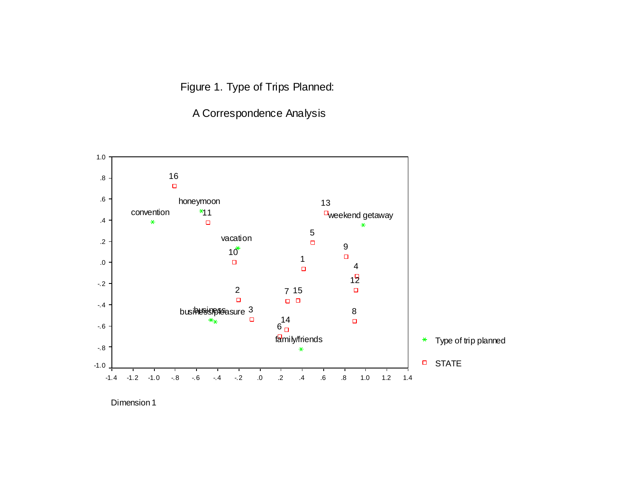## Figure 1. Type of Trips Planned:

A Correspondence Analysis



Dimension 1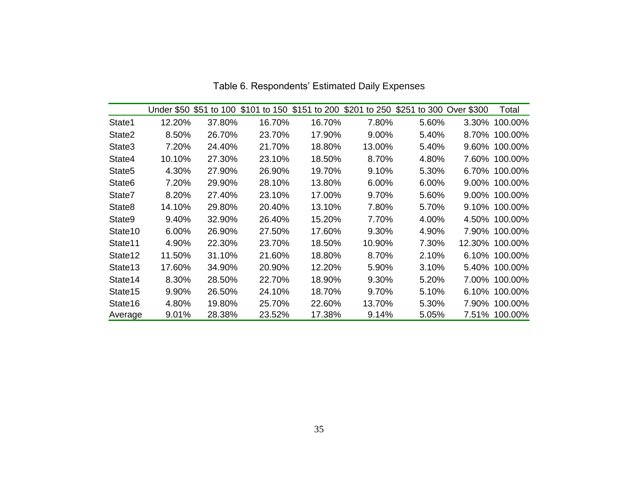|                    |        |        |        | Under \$50 \$51 to 100 \$101 to 150 \$151 to 200 \$201 to 250 \$251 to 300 Over \$300 |        |       |          | Total         |
|--------------------|--------|--------|--------|---------------------------------------------------------------------------------------|--------|-------|----------|---------------|
| State1             | 12.20% | 37.80% | 16.70% | 16.70%                                                                                | 7.80%  | 5.60% | 3.30%    | 100.00%       |
| State2             | 8.50%  | 26.70% | 23.70% | 17.90%                                                                                | 9.00%  | 5.40% | 8.70%    | 100.00%       |
| State3             | 7.20%  | 24.40% | 21.70% | 18.80%                                                                                | 13.00% | 5.40% | 9.60%    | 100.00%       |
| State4             | 10.10% | 27.30% | 23.10% | 18.50%                                                                                | 8.70%  | 4.80% | 7.60%    | 100.00%       |
| State <sub>5</sub> | 4.30%  | 27.90% | 26.90% | 19.70%                                                                                | 9.10%  | 5.30% | 6.70%    | 100.00%       |
| State <sub>6</sub> | 7.20%  | 29.90% | 28.10% | 13.80%                                                                                | 6.00%  | 6.00% | 9.00%    | 100.00%       |
| State7             | 8.20%  | 27.40% | 23.10% | 17.00%                                                                                | 9.70%  | 5.60% |          | 9.00% 100.00% |
| State <sub>8</sub> | 14.10% | 29.80% | 20.40% | 13.10%                                                                                | 7.80%  | 5.70% |          | 9.10% 100.00% |
| State9             | 9.40%  | 32.90% | 26.40% | 15.20%                                                                                | 7.70%  | 4.00% |          | 4.50% 100.00% |
| State10            | 6.00%  | 26.90% | 27.50% | 17.60%                                                                                | 9.30%  | 4.90% |          | 7.90% 100.00% |
| State11            | 4.90%  | 22.30% | 23.70% | 18.50%                                                                                | 10.90% | 7.30% | 12.30%   | 100.00%       |
| State12            | 11.50% | 31.10% | 21.60% | 18.80%                                                                                | 8.70%  | 2.10% | 6.10%    | 100.00%       |
| State13            | 17.60% | 34.90% | 20.90% | 12.20%                                                                                | 5.90%  | 3.10% | 5.40%    | 100.00%       |
| State14            | 8.30%  | 28.50% | 22.70% | 18.90%                                                                                | 9.30%  | 5.20% | 7.00%    | 100.00%       |
| State15            | 9.90%  | 26.50% | 24.10% | 18.70%                                                                                | 9.70%  | 5.10% | $6.10\%$ | 100.00%       |
| State16            | 4.80%  | 19.80% | 25.70% | 22.60%                                                                                | 13.70% | 5.30% | 7.90%    | 100.00%       |
| Average            | 9.01%  | 28.38% | 23.52% | 17.38%                                                                                | 9.14%  | 5.05% | 7.51%    | 100.00%       |

Table 6. Respondents' Estimated Daily Expenses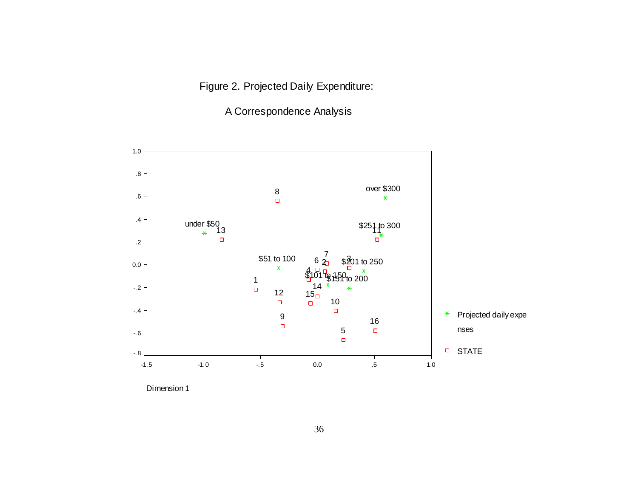## Figure 2. Projected Daily Expenditure:

A Correspondence Analysis



Dimension 1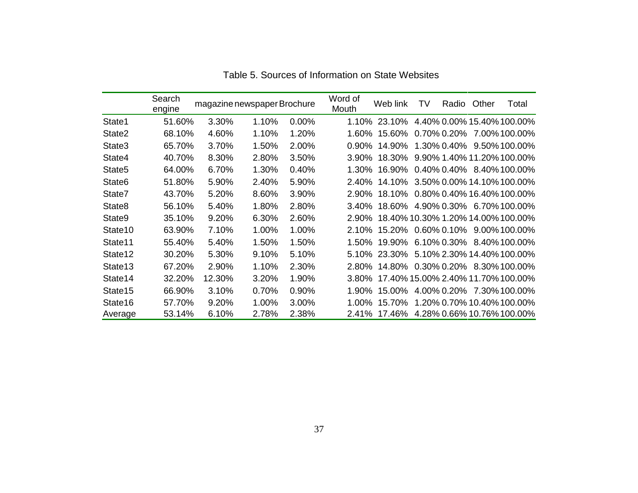|                    | Search<br>engine | magazine newspaper Brochure |       |       | Word of<br>Mouth | Web link | TV | Radio          | Other | Total                              |
|--------------------|------------------|-----------------------------|-------|-------|------------------|----------|----|----------------|-------|------------------------------------|
| State1             | 51.60%           | 3.30%                       | 1.10% | 0.00% | 1.10%            | 23.10%   |    |                |       | 4.40% 0.00% 15.40% 100.00%         |
| State2             | 68.10%           | 4.60%                       | 1.10% | 1.20% | 1.60%            | 15.60%   |    | $0.70\%$ 0.20% |       | 7.00% 100.00%                      |
| State3             | 65.70%           | 3.70%                       | 1.50% | 2.00% | $0.90\%$         | 14.90%   |    | 1.30% 0.40%    |       | 9.50% 100.00%                      |
| State4             | 40.70%           | 8.30%                       | 2.80% | 3.50% | 3.90%            | 18.30%   |    |                |       | 9.90% 1.40% 11.20% 100.00%         |
| State <sub>5</sub> | 64.00%           | 6.70%                       | 1.30% | 0.40% | $1.30\%$         | 16.90%   |    |                |       | 0.40% 0.40% 8.40% 100.00%          |
| State <sub>6</sub> | 51.80%           | 5.90%                       | 2.40% | 5.90% | 2.40%            | 14.10%   |    |                |       | 3.50% 0.00% 14.10% 100.00%         |
| State7             | 43.70%           | 5.20%                       | 8.60% | 3.90% | 2.90%            | 18.10%   |    |                |       | 0.80% 0.40% 16.40% 100.00%         |
| State <sub>8</sub> | 56.10%           | 5.40%                       | 1.80% | 2.80% | $3.40\%$         | 18.60%   |    |                |       | 4.90% 0.30% 6.70% 100.00%          |
| State <sub>9</sub> | 35.10%           | 9.20%                       | 6.30% | 2.60% | 2.90%            |          |    |                |       | 18.40% 10.30% 1.20% 14.00% 100.00% |
| State10            | 63.90%           | 7.10%                       | 1.00% | 1.00% | 2.10%            | 15.20%   |    | 0.60% 0.10%    |       | 9.00% 100.00%                      |
| State11            | 55.40%           | 5.40%                       | 1.50% | 1.50% | $1.50\%$         | 19.90%   |    | 6.10% 0.30%    |       | 8.40%100.00%                       |
| State12            | 30.20%           | 5.30%                       | 9.10% | 5.10% | $5.10\%$         | 23.30%   |    |                |       | 5.10% 2.30% 14.40% 100.00%         |
| State13            | 67.20%           | 2.90%                       | 1.10% | 2.30% | 2.80%            | 14.80%   |    | $0.30\%$ 0.20% |       | 8.30%100.00%                       |
| State14            | 32.20%           | 12.30%                      | 3.20% | 1.90% | 3.80%            |          |    |                |       | 17.40% 15.00% 2.40% 11.70% 100.00% |
| State15            | 66.90%           | 3.10%                       | 0.70% | 0.90% | 1.90%            | 15.00%   |    | 4.00% 0.20%    |       | 7.30%100.00%                       |
| State16            | 57.70%           | 9.20%                       | 1.00% | 3.00% | 1.00%            | 15.70%   |    |                |       | 1.20% 0.70% 10.40% 100.00%         |
| Average            | 53.14%           | 6.10%                       | 2.78% | 2.38% | $2.41\%$         | 17.46%   |    |                |       | 4.28% 0.66% 10.76% 100.00%         |

Table 5. Sources of Information on State Websites